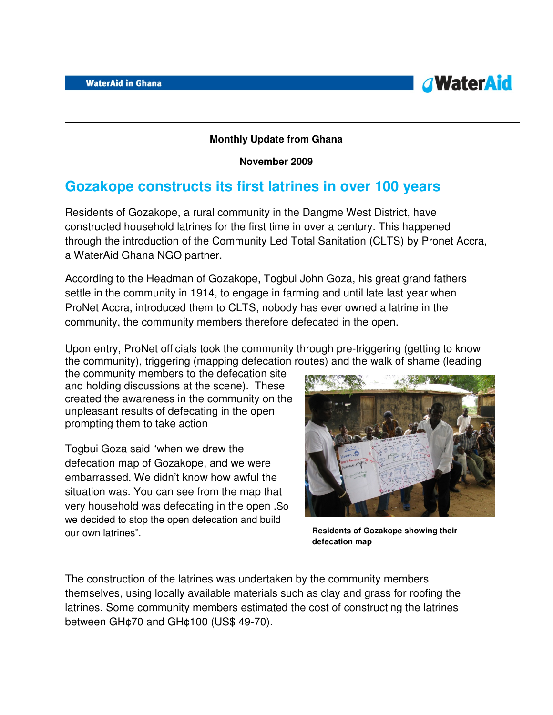

## **Monthly Update from Ghana**

**November 2009** 

## **Gozakope constructs its first latrines in over 100 years**

Residents of Gozakope, a rural community in the Dangme West District, have constructed household latrines for the first time in over a century. This happened through the introduction of the Community Led Total Sanitation (CLTS) by Pronet Accra, a WaterAid Ghana NGO partner.

According to the Headman of Gozakope, Togbui John Goza, his great grand fathers settle in the community in 1914, to engage in farming and until late last year when ProNet Accra, introduced them to CLTS, nobody has ever owned a latrine in the community, the community members therefore defecated in the open.

Upon entry, ProNet officials took the community through pre-triggering (getting to know the community), triggering (mapping defecation routes) and the walk of shame (leading

the community members to the defecation site and holding discussions at the scene). These created the awareness in the community on the unpleasant results of defecating in the open prompting them to take action

Togbui Goza said "when we drew the defecation map of Gozakope, and we were embarrassed. We didn't know how awful the situation was. You can see from the map that very household was defecating in the open .So we decided to stop the open defecation and build our own latrines".



**Residents of Gozakope showing their defecation map**

The construction of the latrines was undertaken by the community members themselves, using locally available materials such as clay and grass for roofing the latrines. Some community members estimated the cost of constructing the latrines between GH¢70 and GH¢100 (US\$ 49-70).